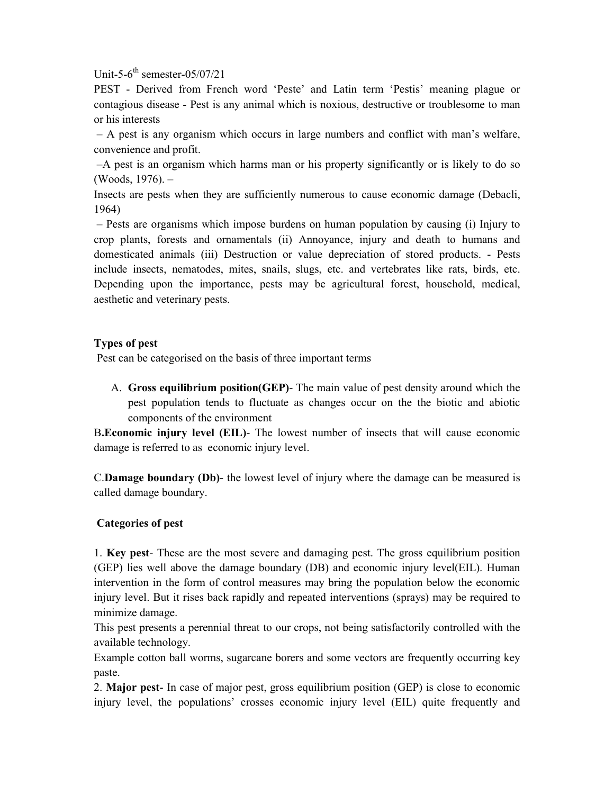Unit-5- $6^{th}$  semester-05/07/21

PEST - Derived from French word 'Peste' and Latin term 'Pestis' meaning plague or contagious disease - Pest is any animal which is noxious, destructive or troublesome to man or his interests

– A pest is any organism which occurs in large numbers and conflict with man's welfare, convenience and profit.

–A pest is an organism which harms man or his property significantly or is likely to do so (Woods, 1976). –

Insects are pests when they are sufficiently numerous to cause economic damage (Debacli, 1964)

– Pests are organisms which impose burdens on human population by causing (i) Injury to crop plants, forests and ornamentals (ii) Annoyance, injury and death to humans and domesticated animals (iii) Destruction or value depreciation of stored products. - Pests include insects, nematodes, mites, snails, slugs, etc. and vertebrates like rats, birds, etc. Depending upon the importance, pests may be agricultural forest, household, medical, aesthetic and veterinary pests.

## **Types of pest**

Pest can be categorised on the basis of three important terms

A. **Gross equilibrium position(GEP)**- The main value of pest density around which the pest population tends to fluctuate as changes occur on the the biotic and abiotic components of the environment

B**.Economic injury level (EIL)**- The lowest number of insects that will cause economic damage is referred to as economic injury level.

C.**Damage boundary (Db)**- the lowest level of injury where the damage can be measured is called damage boundary.

## **Categories of pest**

1. **Key pest**- These are the most severe and damaging pest. The gross equilibrium position (GEP) lies well above the damage boundary (DB) and economic injury level(EIL). Human intervention in the form of control measures may bring the population below the economic injury level. But it rises back rapidly and repeated interventions (sprays) may be required to minimize damage.

This pest presents a perennial threat to our crops, not being satisfactorily controlled with the available technology.

Example cotton ball worms, sugarcane borers and some vectors are frequently occurring key paste.

2. **Major pest**- In case of major pest, gross equilibrium position (GEP) is close to economic injury level, the populations' crosses economic injury level (EIL) quite frequently and